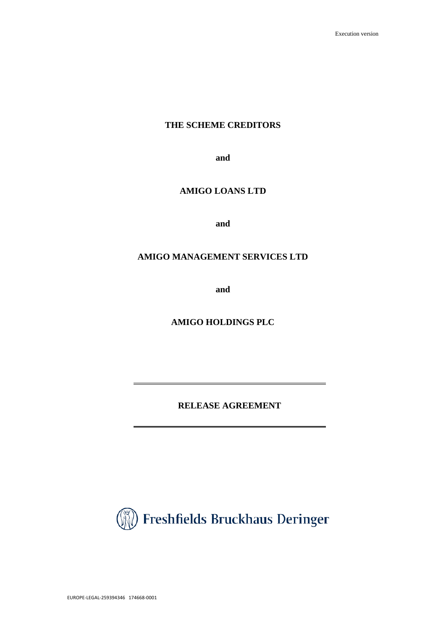# **THE SCHEME CREDITORS**

**and**

# **AMIGO LOANS LTD**

**and**

# **AMIGO MANAGEMENT SERVICES LTD**

**and**

**AMIGO HOLDINGS PLC**

**RELEASE AGREEMENT**

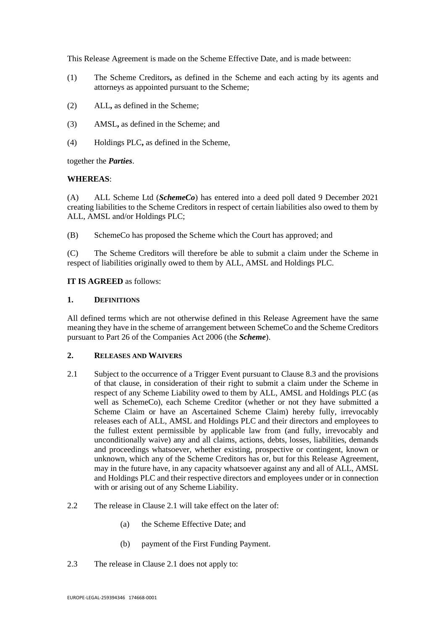This Release Agreement is made on the Scheme Effective Date, and is made between:

- (1) The Scheme Creditors**,** as defined in the Scheme and each acting by its agents and attorneys as appointed pursuant to the Scheme;
- (2) ALL**,** as defined in the Scheme;
- (3) AMSL**,** as defined in the Scheme; and
- (4) Holdings PLC**,** as defined in the Scheme,

together the *Parties*.

#### **WHEREAS**:

(A) ALL Scheme Ltd (*SchemeCo*) has entered into a deed poll dated 9 December 2021 creating liabilities to the Scheme Creditors in respect of certain liabilities also owed to them by ALL, AMSL and/or Holdings PLC;

(B) SchemeCo has proposed the Scheme which the Court has approved; and

(C) The Scheme Creditors will therefore be able to submit a claim under the Scheme in respect of liabilities originally owed to them by ALL, AMSL and Holdings PLC.

#### **IT IS AGREED** as follows:

#### **1. DEFINITIONS**

All defined terms which are not otherwise defined in this Release Agreement have the same meaning they have in the scheme of arrangement between SchemeCo and the Scheme Creditors pursuant to Part 26 of the Companies Act 2006 (the *Scheme*).

### **2. RELEASES AND WAIVERS**

- 2.1 Subject to the occurrence of a Trigger Event pursuant to Clause 8.3 and the provisions of that clause, in consideration of their right to submit a claim under the Scheme in respect of any Scheme Liability owed to them by ALL, AMSL and Holdings PLC (as well as SchemeCo), each Scheme Creditor (whether or not they have submitted a Scheme Claim or have an Ascertained Scheme Claim) hereby fully, irrevocably releases each of ALL, AMSL and Holdings PLC and their directors and employees to the fullest extent permissible by applicable law from (and fully, irrevocably and unconditionally waive) any and all claims, actions, debts, losses, liabilities, demands and proceedings whatsoever, whether existing, prospective or contingent, known or unknown, which any of the Scheme Creditors has or, but for this Release Agreement, may in the future have, in any capacity whatsoever against any and all of ALL, AMSL and Holdings PLC and their respective directors and employees under or in connection with or arising out of any Scheme Liability.
- 2.2 The release in Clause 2.1 will take effect on the later of:
	- (a) the Scheme Effective Date; and
	- (b) payment of the First Funding Payment.
- 2.3 The release in Clause 2.1 does not apply to: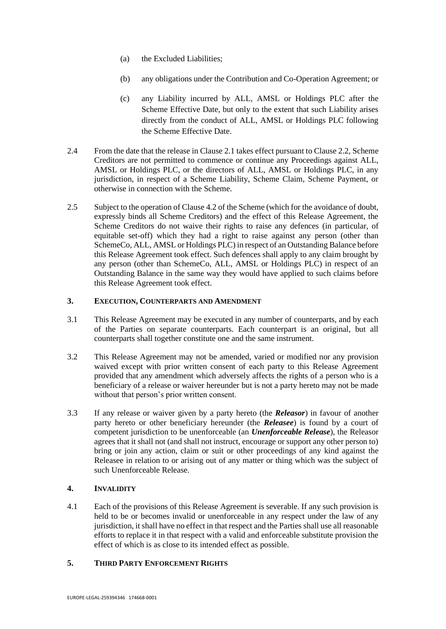- (a) the Excluded Liabilities;
- (b) any obligations under the Contribution and Co-Operation Agreement; or
- (c) any Liability incurred by ALL, AMSL or Holdings PLC after the Scheme Effective Date, but only to the extent that such Liability arises directly from the conduct of ALL, AMSL or Holdings PLC following the Scheme Effective Date.
- 2.4 From the date that the release in Clause 2.1 takes effect pursuant to Clause 2.2, Scheme Creditors are not permitted to commence or continue any Proceedings against ALL, AMSL or Holdings PLC, or the directors of ALL, AMSL or Holdings PLC, in any jurisdiction, in respect of a Scheme Liability, Scheme Claim, Scheme Payment, or otherwise in connection with the Scheme.
- 2.5 Subject to the operation of Clause 4.2 of the Scheme (which for the avoidance of doubt, expressly binds all Scheme Creditors) and the effect of this Release Agreement, the Scheme Creditors do not waive their rights to raise any defences (in particular, of equitable set-off) which they had a right to raise against any person (other than SchemeCo, ALL, AMSL or Holdings PLC) in respect of an Outstanding Balance before this Release Agreement took effect. Such defences shall apply to any claim brought by any person (other than SchemeCo, ALL, AMSL or Holdings PLC) in respect of an Outstanding Balance in the same way they would have applied to such claims before this Release Agreement took effect.

#### **3. EXECUTION, COUNTERPARTS AND AMENDMENT**

- 3.1 This Release Agreement may be executed in any number of counterparts, and by each of the Parties on separate counterparts. Each counterpart is an original, but all counterparts shall together constitute one and the same instrument.
- 3.2 This Release Agreement may not be amended, varied or modified nor any provision waived except with prior written consent of each party to this Release Agreement provided that any amendment which adversely affects the rights of a person who is a beneficiary of a release or waiver hereunder but is not a party hereto may not be made without that person's prior written consent.
- 3.3 If any release or waiver given by a party hereto (the *Releasor*) in favour of another party hereto or other beneficiary hereunder (the *Releasee*) is found by a court of competent jurisdiction to be unenforceable (an *Unenforceable Release*), the Releasor agrees that it shall not (and shall not instruct, encourage or support any other person to) bring or join any action, claim or suit or other proceedings of any kind against the Releasee in relation to or arising out of any matter or thing which was the subject of such Unenforceable Release.

# **4. INVALIDITY**

4.1 Each of the provisions of this Release Agreement is severable. If any such provision is held to be or becomes invalid or unenforceable in any respect under the law of any jurisdiction, it shall have no effect in that respect and the Parties shall use all reasonable efforts to replace it in that respect with a valid and enforceable substitute provision the effect of which is as close to its intended effect as possible.

# **5. THIRD PARTY ENFORCEMENT RIGHTS**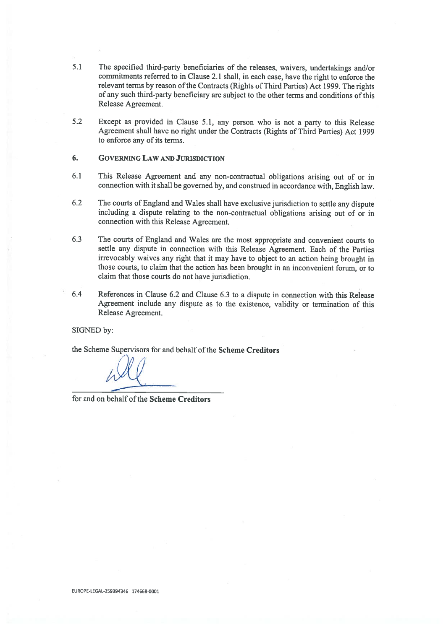- 5.1 The specified third-party beneficiaries of the releases, waivers, undertakings and/or commitments referred to in Clause 2.1 shall, in each case, have the right to enforce the relevant terms by reason of the Contracts (Rights of Third Parties) Act 1999. The rights of any such third-party beneficiary are subject to the other terms and conditions ofthis Release Agreement.
- 5.2 Except as provided in Clause 5.1, any person who is not <sup>a</sup> party to this Release Agreement shall have no right under the Contracts (Rights of Third Parties) Act <sup>1999</sup> to enforce any of its terms.

#### 6. GOVERNING LAW AND JURISDICTION

- 6.1 This Release Agreement and any non-contractual obligations arising out of or in connection with it shall be governe<sup>d</sup> by, and construed in accordance with, English law.
- 6.2 The courts of England and Wales shall have exclusive jurisdiction to settle any dispute including <sup>a</sup> dispute relating to the non-contractual obligations arising out of or in connection with this Release Agreement.
- 6.3 The courts of England and Wales are the most appropriate and convenient courts to settle any dispute in connection with this Release Agreement. Each of the Parties irrevocably waives any right that it may have to object to an action being brought in those courts, to claim that the action has been brought in an inconvenient forum, or to claim that those courts do not have jurisdiction.
- 6.4 References in Clause 6.2 and Clause 6.3 to <sup>a</sup> dispute in connection with this Release Agreement include any dispute as to the existence, validity or termination of this Release Agreement.

#### SIGNED by:

the Scheme Supervisors for and behalf of the Scheme Creditors

for and on behalf of the Scheme Creditors